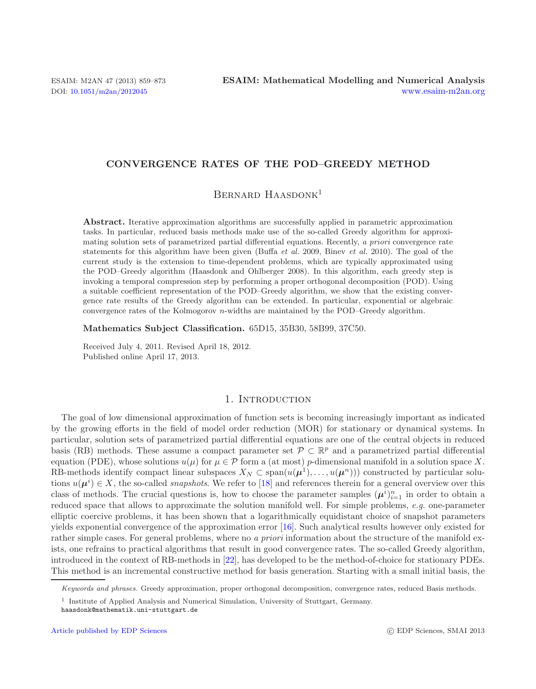# **CONVERGENCE RATES OF THE POD–GREEDY METHOD**

BERNARD HAASDONK<sup>1</sup>

**Abstract.** Iterative approximation algorithms are successfully applied in parametric approximation tasks. In particular, reduced basis methods make use of the so-called Greedy algorithm for approximating solution sets of parametrized partial differential equations. Recently, *a priori* convergence rate statements for this algorithm have been given (Buffa *et al.* 2009, Binev *et al.* 2010). The goal of the current study is the extension to time-dependent problems, which are typically approximated using the POD–Greedy algorithm (Haasdonk and Ohlberger 2008). In this algorithm, each greedy step is invoking a temporal compression step by performing a proper orthogonal decomposition (POD). Using a suitable coefficient representation of the POD–Greedy algorithm, we show that the existing convergence rate results of the Greedy algorithm can be extended. In particular, exponential or algebraic convergence rates of the Kolmogorov *n*-widths are maintained by the POD–Greedy algorithm.

**Mathematics Subject Classification.** 65D15, 35B30, 58B99, 37C50.

Received July 4, 2011. Revised April 18, 2012. Published online April 17, 2013.

### 1. INTRODUCTION

The goal of low dimensional approximation of function sets is becoming increasingly important as indicated by the growing efforts in the field of model order reduction (MOR) for stationary or dynamical systems. In particular, solution sets of parametrized partial differential equations are one of the central objects in reduced basis (RB) methods. These assume a compact parameter set  $\mathcal{P} \subset \mathbb{R}^p$  and a parametrized partial differential equation (PDE), whose solutions  $u(\mu)$  for  $\mu \in \mathcal{P}$  form a (at most) p-dimensional manifold in a solution space X. RB-methods identify compact linear subspaces  $X_N \subset \text{span}(u(\mu^1),\ldots,u(\mu^n))$  constructed by particular solutions  $u(\mu^i) \in X$ , the so-called *snapshots*. We refer to [\[18](#page-14-0)] and references therein for a general overview over this class of methods. The crucial questions is, how to choose the parameter samples  $(\mu^i)_{i=1}^n$  in order to obtain a reduced space that allows to approximate the solution manifold well. For simple problems, *e.g.* one-parameter elliptic coercive problems, it has been shown that a logarithmically equidistant choice of snapshot parameters yields exponential convergence of the approximation error [\[16](#page-14-1)]. Such analytical results however only existed for rather simple cases. For general problems, where no *a priori* information about the structure of the manifold exists, one refrains to practical algorithms that result in good convergence rates. The so-called Greedy algorithm, introduced in the context of RB-methods in [\[22](#page-14-2)], has developed to be the method-of-choice for stationary PDEs. This method is an incremental constructive method for basis generation. Starting with a small initial basis, the

Keywords and phrases. Greedy approximation, proper orthogonal decomposition, convergence rates, reduced Basis methods.

<sup>1</sup> Institute of Applied Analysis and Numerical Simulation, University of Stuttgart, Germany. haasdonk@mathematik.uni-stuttgart.de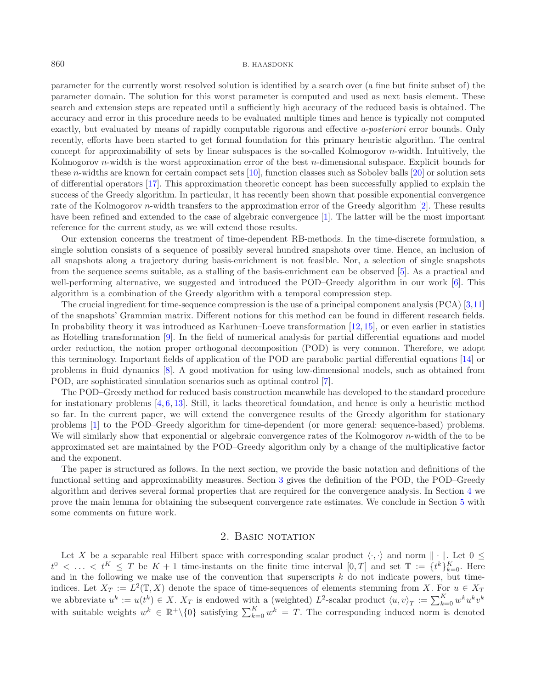parameter for the currently worst resolved solution is identified by a search over (a fine but finite subset of) the parameter domain. The solution for this worst parameter is computed and used as next basis element. These search and extension steps are repeated until a sufficiently high accuracy of the reduced basis is obtained. The accuracy and error in this procedure needs to be evaluated multiple times and hence is typically not computed exactly, but evaluated by means of rapidly computable rigorous and effective *a-posteriori* error bounds. Only recently, efforts have been started to get formal foundation for this primary heuristic algorithm. The central concept for approximability of sets by linear subspaces is the so-called Kolmogorov n-width. Intuitively, the Kolmogorov *n*-width is the worst approximation error of the best *n*-dimensional subspace. Explicit bounds for these n-widths are known for certain compact sets [\[10\]](#page-14-3), function classes such as Sobolev balls [\[20\]](#page-14-4) or solution sets of differential operators [\[17](#page-14-5)]. This approximation theoretic concept has been successfully applied to explain the success of the Greedy algorithm. In particular, it has recently been shown that possible exponential convergence rate of the Kolmogorov n-width transfers to the approximation error of the Greedy algorithm [\[2](#page-14-6)]. These results have been refined and extended to the case of algebraic convergence [\[1](#page-14-7)]. The latter will be the most important reference for the current study, as we will extend those results.

Our extension concerns the treatment of time-dependent RB-methods. In the time-discrete formulation, a single solution consists of a sequence of possibly several hundred snapshots over time. Hence, an inclusion of all snapshots along a trajectory during basis-enrichment is not feasible. Nor, a selection of single snapshots from the sequence seems suitable, as a stalling of the basis-enrichment can be observed [\[5](#page-14-8)]. As a practical and well-performing alternative, we suggested and introduced the POD–Greedy algorithm in our work [\[6](#page-14-9)]. This algorithm is a combination of the Greedy algorithm with a temporal compression step.

The crucial ingredient for time-sequence compression is the use of a principal component analysis (PCA) [\[3](#page-14-10)[,11\]](#page-14-11) of the snapshots' Grammian matrix. Different notions for this method can be found in different research fields. In probability theory it was introduced as Karhunen–Loeve transformation [\[12](#page-14-12), [15](#page-14-13)], or even earlier in statistics as Hotelling transformation [\[9](#page-14-14)]. In the field of numerical analysis for partial differential equations and model order reduction, the notion proper orthogonal decomposition (POD) is very common. Therefore, we adopt this terminology. Important fields of application of the POD are parabolic partial differential equations [\[14\]](#page-14-15) or problems in fluid dynamics [\[8\]](#page-14-16). A good motivation for using low-dimensional models, such as obtained from POD, are sophisticated simulation scenarios such as optimal control [\[7\]](#page-14-17).

The POD–Greedy method for reduced basis construction meanwhile has developed to the standard procedure for instationary problems [\[4,](#page-14-18) [6,](#page-14-9) [13](#page-14-19)]. Still, it lacks theoretical foundation, and hence is only a heuristic method so far. In the current paper, we will extend the convergence results of the Greedy algorithm for stationary problems [\[1\]](#page-14-7) to the POD–Greedy algorithm for time-dependent (or more general: sequence-based) problems. We will similarly show that exponential or algebraic convergence rates of the Kolmogorov *n*-width of the to be approximated set are maintained by the POD–Greedy algorithm only by a change of the multiplicative factor and the exponent.

The paper is structured as follows. In the next section, we provide the basic notation and definitions of the functional setting and approximability measures. Section [3](#page-3-0) gives the definition of the POD, the POD–Greedy algorithm and derives several formal properties that are required for the convergence analysis. In Section [4](#page-8-0) we prove the main lemma for obtaining the subsequent convergence rate estimates. We conclude in Section [5](#page-12-0) with some comments on future work.

### 2. BASIC NOTATION

Let X be a separable real Hilbert space with corresponding scalar product  $\langle \cdot, \cdot \rangle$  and norm  $\|\cdot\|$ . Let  $0 \leq$  $t^0 \lt \ldots \lt t^K \leq T$  be  $K+1$  time-instants on the finite time interval  $[0,T]$  and set  $\mathbb{T} := \{t^k\}_{k=0}^K$ . Here and in the following we make use of the convention that superscripts  $k$  do not indicate powers, but timeindices. Let  $X_T := L^2(\mathbb{T}, X)$  denote the space of time-sequences of elements stemming from X. For  $u \in X_T$ we abbreviate  $u^k := u(t^k) \in X$ .  $X_T$  is endowed with a (weighted)  $L^2$ -scalar product  $\langle u, v \rangle_T := \sum_{k=0}^K w^k u^k v^k$ with suitable weights  $w^k \in \mathbb{R}^+\setminus\{0\}$  satisfying  $\sum_{k=0}^K w^k = T$ . The corresponding induced norm is denoted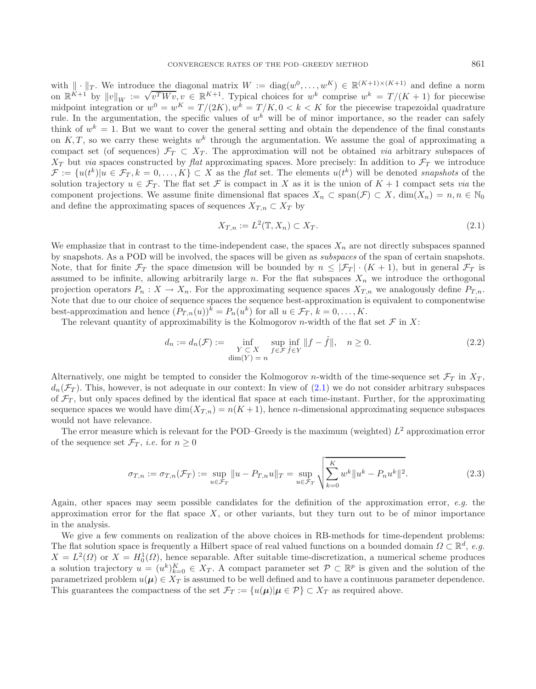with  $\|\cdot\|_T$ . We introduce the diagonal matrix  $W := \text{diag}(w^0, \dots, w^K) \in \mathbb{R}^{(K+1)\times (K+1)}$  and define a norm on  $\mathbb{R}^{K+1}$  by  $\|v\|_W := \sqrt{v^T W v}$ ,  $v \in \mathbb{R}^{K+1}$ . Typical choices for  $w^k$  comprise  $w^k = T/(K+1)$  for pie midpoint integration or  $w^0 = w^K = T/(2K)$ ,  $w^k = T/K$ ,  $0 < k < K$  for the piecewise trapezoidal quadrature rule. In the argumentation, the specific values of  $w^k$  will be of minor importance, so the reader can safely think of  $w^k = 1$ . But we want to cover the general setting and obtain the dependence of the final constants on K, T, so we carry these weights  $w^k$  through the argumentation. We assume the goal of approximating a compact set (of sequences)  $\mathcal{F}_T \subset X_T$ . The approximation will not be obtained *via* arbitrary subspaces of  $X_T$  but *via* spaces constructed by *flat* approximating spaces. More precisely: In addition to  $\mathcal{F}_T$  we introduce  $\mathcal{F} := \{u(t^k) | u \in \mathcal{F}_T, k = 0, \ldots, K\} \subset X$  as the *flat* set. The elements  $u(t^k)$  will be denoted *snapshots* of the solution trajectory  $u \in \mathcal{F}_T$ . The flat set F is compact in X as it is the union of  $K + 1$  compact sets *via* the component projections. We assume finite dimensional flat spaces  $X_n \subset \text{span}(\mathcal{F}) \subset X$ ,  $\dim(X_n) = n, n \in \mathbb{N}_0$ and define the approximating spaces of sequences  $X_{T,n} \subset X_T$  by

<span id="page-2-0"></span>
$$
X_{T,n} := L^2(\mathbb{T}, X_n) \subset X_T. \tag{2.1}
$$

We emphasize that in contrast to the time-independent case, the spaces  $X_n$  are not directly subspaces spanned by snapshots. As a POD will be involved, the spaces will be given as *subspaces* of the span of certain snapshots. Note, that for finite  $\mathcal{F}_T$  the space dimension will be bounded by  $n \leq |\mathcal{F}_T| \cdot (K+1)$ , but in general  $\mathcal{F}_T$  is assumed to be infinite, allowing arbitrarily large n. For the flat subspaces  $X_n$  we introduce the orthogonal projection operators  $P_n : X \to X_n$ . For the approximating sequence spaces  $X_{T,n}$  we analogously define  $P_{T,n}$ . Note that due to our choice of sequence spaces the sequence best-approximation is equivalent to componentwise best-approximation and hence  $(P_{T,n}(u))^k = P_n(u^k)$  for all  $u \in \mathcal{F}_T$ ,  $k = 0, \ldots, K$ .

The relevant quantity of approximability is the Kolmogorov *n*-width of the flat set  $\mathcal F$  in X:

<span id="page-2-1"></span>
$$
d_n := d_n(\mathcal{F}) := \inf_{\substack{Y \subset X \\ \dim(Y) = n}} \sup_{f \in \mathcal{F}} \inf_{\hat{f} \in Y} ||f - \hat{f}||, \quad n \ge 0.
$$
 (2.2)

Alternatively, one might be tempted to consider the Kolmogorov n-width of the time-sequence set  $\mathcal{F}_T$  in  $X_T$ ,  $d_n(\mathcal{F}_T)$ . This, however, is not adequate in our context: In view of [\(2.1\)](#page-2-0) we do not consider arbitrary subspaces of  $\mathcal{F}_T$ , but only spaces defined by the identical flat space at each time-instant. Further, for the approximating sequence spaces we would have  $\dim(X_{T,n}) = n(K+1)$ , hence *n*-dimensional approximating sequence subspaces would not have relevance.

The error measure which is relevant for the POD–Greedy is the maximum (weighted)  $L^2$  approximation error of the sequence set  $\mathcal{F}_T$ , *i.e.* for  $n \geq 0$ 

$$
\sigma_{T,n} := \sigma_{T,n}(\mathcal{F}_T) := \sup_{u \in \mathcal{F}_T} \|u - P_{T,n}u\|_T = \sup_{u \in \mathcal{F}_T} \sqrt{\sum_{k=0}^K w^k \|u^k - P_n u^k\|^2}.
$$
\n(2.3)

Again, other spaces may seem possible candidates for the definition of the approximation error, *e.g.* the approximation error for the flat space  $X$ , or other variants, but they turn out to be of minor importance in the analysis.

We give a few comments on realization of the above choices in RB-methods for time-dependent problems: The flat solution space is frequently a Hilbert space of real valued functions on a bounded domain  $\Omega \subset \mathbb{R}^d$ , *e.g.*  $X = L^2(\Omega)$  or  $X = H_0^1(\Omega)$ , hence separable. After suitable time-discretization, a numerical scheme produces a solution trajectory  $u = (u^k)_{k=0}^K \in X_T$ . A compact parameter set  $\mathcal{P} \subset \mathbb{R}^p$  is given and the solution of the parametrized problem  $u(\mu) \in X_T$  is assumed to be well defined and to have a continuous parameter dependence. This guarantees the compactness of the set  $\mathcal{F}_T := \{u(\mu) | \mu \in \mathcal{P}\} \subset X_T$  as required above.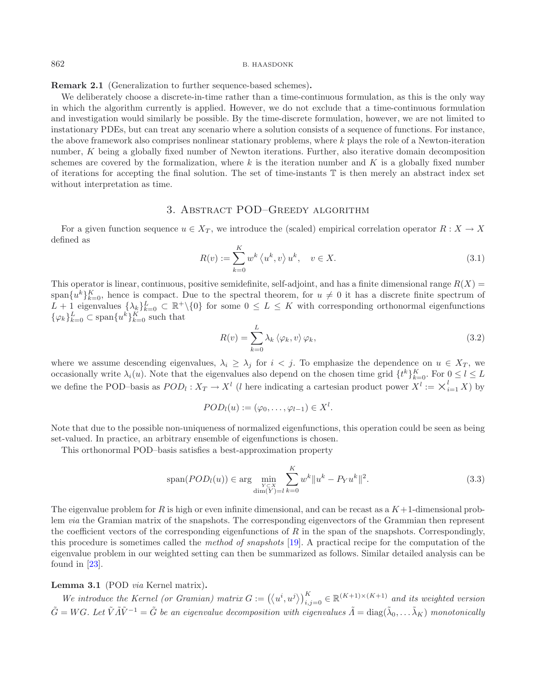**Remark 2.1** (Generalization to further sequence-based schemes)**.**

<span id="page-3-1"></span>We deliberately choose a discrete-in-time rather than a time-continuous formulation, as this is the only way in which the algorithm currently is applied. However, we do not exclude that a time-continuous formulation and investigation would similarly be possible. By the time-discrete formulation, however, we are not limited to instationary PDEs, but can treat any scenario where a solution consists of a sequence of functions. For instance, the above framework also comprises nonlinear stationary problems, where k plays the role of a Newton-iteration number, K being a globally fixed number of Newton iterations. Further, also iterative domain decomposition schemes are covered by the formalization, where k is the iteration number and K is a globally fixed number of iterations for accepting the final solution. The set of time-instants T is then merely an abstract index set without interpretation as time.

# <span id="page-3-2"></span>3. Abstract POD–Greedy algorithm

<span id="page-3-0"></span>For a given function sequence  $u \in X_T$ , we introduce the (scaled) empirical correlation operator  $R : X \to X$ defined as

$$
R(v) := \sum_{k=0}^{K} w^k \left\langle u^k, v \right\rangle u^k, \quad v \in X. \tag{3.1}
$$

This operator is linear, continuous, positive semidefinite, self-adjoint, and has a finite dimensional range  $R(X)$ span ${u<sup>k</sup>}_{k=0}^K$ , hence is compact. Due to the spectral theorem, for  $u \neq 0$  it has a discrete finite spectrum of  $L + 1$  eigenvalues  $\{\lambda_k\}_{k=0}^L \subset \mathbb{R}^+\backslash\{0\}$  for some  $0 \le L \le K$  with corresponding orthonormal eigenfunctions  $\{\varphi_k\}_{k=0}^L \subset \text{span}\{u^k\}_{k=0}^K$  such that

<span id="page-3-3"></span>
$$
R(v) = \sum_{k=0}^{L} \lambda_k \langle \varphi_k, v \rangle \varphi_k, \qquad (3.2)
$$

where we assume descending eigenvalues,  $\lambda_i \geq \lambda_j$  for  $i < j$ . To emphasize the dependence on  $u \in X_T$ , we occasionally write  $\lambda_i(u)$ . Note that the eigenvalues also depend on the chosen time grid  $\{t^k\}_{k=0}^K$ . For  $0 \leq l \leq L$ we define the POD–basis as  $POD_l: X_T \to X^l$  (l here indicating a cartesian product power  $X^l := \times_{i=1}^l X$ ) by

$$
POD_l(u) := (\varphi_0, \ldots, \varphi_{l-1}) \in X^l.
$$

Note that due to the possible non-uniqueness of normalized eigenfunctions, this operation could be seen as being set-valued. In practice, an arbitrary ensemble of eigenfunctions is chosen.

This orthonormal POD–basis satisfies a best-approximation property

$$
\text{span}(POD_l(u)) \in \arg\min_{\substack{Y \subset X \\ \dim(Y) = l}} \sum_{k=0}^{K} w^k \|u^k - P_Y u^k\|^2. \tag{3.3}
$$

The eigenvalue problem for R is high or even infinite dimensional, and can be recast as a  $K+1$ -dimensional problem *via* the Gramian matrix of the snapshots. The corresponding eigenvectors of the Grammian then represent the coefficient vectors of the corresponding eigenfunctions of  $R$  in the span of the snapshots. Correspondingly, this procedure is sometimes called the *method of snapshots* [\[19\]](#page-14-20). A practical recipe for the computation of the eigenvalue problem in our weighted setting can then be summarized as follows. Similar detailed analysis can be found in [\[23](#page-14-21)].

# **Lemma 3.1** (POD *via* Kernel matrix)**.**

We introduce the Kernel (or Gramian) matrix  $G := (\langle u^i, u^j \rangle)_{i,j=0}^K \in \mathbb{R}^{(K+1)\times (K+1)}$  and its weighted version  $\tilde{G} = WG$ . Let  $\tilde{V} \tilde{A} \tilde{V}^{-1} = \tilde{G}$  be an eigenvalue decomposition with eigenvalues  $\tilde{A} = \text{diag}(\tilde{\lambda}_0, \dots, \tilde{\lambda}_K)$  monotonically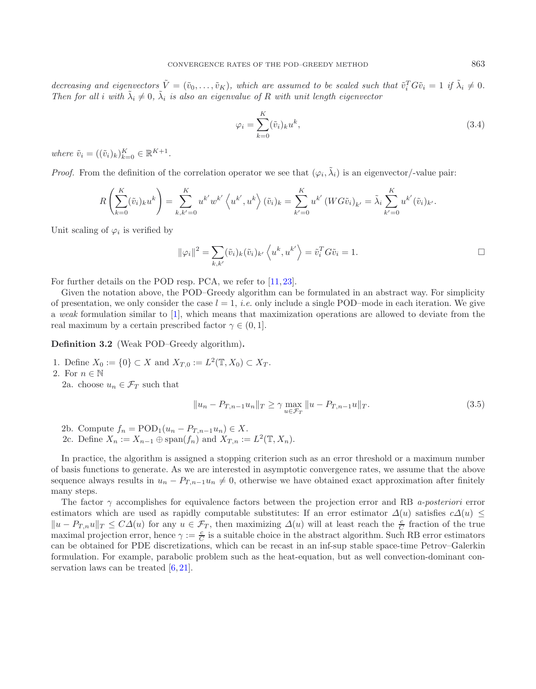decreasing and eigenvectors  $\tilde{V} = (\tilde{v}_0, \ldots, \tilde{v}_K)$ , which are assumed to be scaled such that  $\tilde{v}_i^T G \tilde{v}_i = 1$  if  $\tilde{\lambda}_i \neq 0$ . *Then for all i with*  $\tilde{\lambda}_i \neq 0$ ,  $\tilde{\lambda}_i$  *is also an eigenvalue of* R *with unit length eigenvector* 

$$
\varphi_i = \sum_{k=0}^{K} (\tilde{v}_i)_k u^k, \tag{3.4}
$$

*where*  $\tilde{v}_i = ((\tilde{v}_i)_k)_{k=0}^K \in \mathbb{R}^{K+1}$ .

*Proof.* From the definition of the correlation operator we see that  $(\varphi_i, \tilde{\lambda}_i)$  is an eigenvector/-value pair:

$$
R\left(\sum_{k=0}^{K}(\tilde{v}_{i})_{k}u^{k}\right) = \sum_{k,k'=0}^{K} u^{k'}w^{k'}\left\langle u^{k'},u^{k}\right\rangle(\tilde{v}_{i})_{k} = \sum_{k'=0}^{K} u^{k'}\left(WG\tilde{v}_{i}\right)_{k'} = \tilde{\lambda}_{i}\sum_{k'=0}^{K} u^{k'}(\tilde{v}_{i})_{k'}.
$$

Unit scaling of  $\varphi_i$  is verified by

<span id="page-4-0"></span>
$$
\|\varphi_i\|^2 = \sum_{k,k'} (\tilde{v}_i)_k (\tilde{v}_i)_{k'} \left\langle u^k, u^{k'} \right\rangle = \tilde{v}_i^T G \tilde{v}_i = 1.
$$

For further details on the POD resp. PCA, we refer to [\[11](#page-14-11), [23](#page-14-21)].

Given the notation above, the POD–Greedy algorithm can be formulated in an abstract way. For simplicity of presentation, we only consider the case  $l = 1$ , *i.e.* only include a single POD–mode in each iteration. We give a *weak* formulation similar to [\[1](#page-14-7)], which means that maximization operations are allowed to deviate from the real maximum by a certain prescribed factor  $\gamma \in (0, 1]$ .

**Definition 3.2** (Weak POD–Greedy algorithm)**.**

1. Define  $X_0 := \{0\} \subset X$  and  $X_{T,0} := L^2(\mathbb{T}, X_0) \subset X_T$ .

2. For  $n \in \mathbb{N}$ 

2a. choose  $u_n \in \mathcal{F}_T$  such that

$$
||u_n - P_{T,n-1}u_n||_T \ge \gamma \max_{u \in \mathcal{F}_T} ||u - P_{T,n-1}u||_T.
$$
\n(3.5)

2b. Compute  $f_n = \text{POD}_1(u_n - P_{T,n-1}u_n) \in X$ . 2c. Define  $X_n := X_{n-1} \oplus \text{span}(f_n)$  and  $X_{T,n} := L^2(\mathbb{T}, X_n)$ .

In practice, the algorithm is assigned a stopping criterion such as an error threshold or a maximum number of basis functions to generate. As we are interested in asymptotic convergence rates, we assume that the above sequence always results in  $u_n - P_{T,n-1}u_n \neq 0$ , otherwise we have obtained exact approximation after finitely many steps.

The factor γ accomplishes for equivalence factors between the projection error and RB *a-posteriori* error estimators which are used as rapidly computable substitutes: If an error estimator  $\Delta(u)$  satisfies  $c\Delta(u) \leq$  $||u - P_{T,n}u||_T \leq C\Delta(u)$  for any  $u \in \mathcal{F}_T$ , then maximizing  $\Delta(u)$  will at least reach the  $\frac{c}{C}$  fraction of the true maximal projection error, hence  $\gamma := \frac{c}{C}$  is a suitable choice in the abstract algorithm. Such RB error estimators can be obtained for PDE discretizations, which can be recast in an inf-sup stable space-time Petrov–Galerkin formulation. For example, parabolic problem such as the heat-equation, but as well convection-dominant conservation laws can be treated  $[6, 21]$  $[6, 21]$  $[6, 21]$ .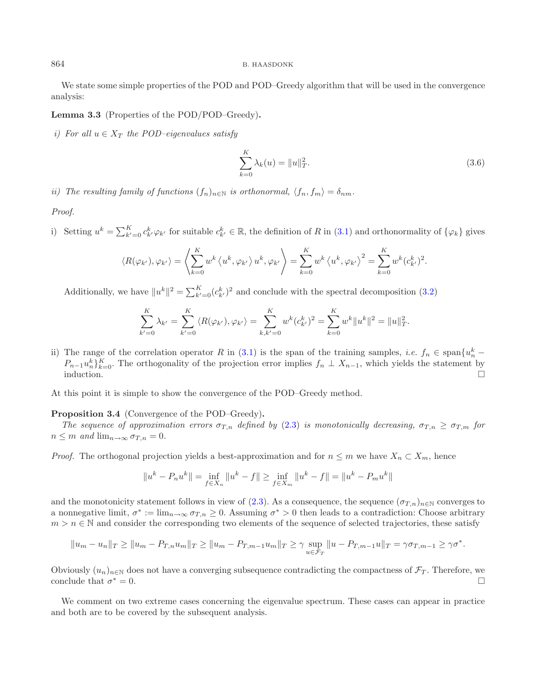We state some simple properties of the POD and POD–Greedy algorithm that will be used in the convergence analysis:

**Lemma 3.3** (Properties of the POD/POD–Greedy)**.**

*i)* For all  $u \in X_T$  the POD–eigenvalues satisfy

$$
\sum_{k=0}^{K} \lambda_k(u) = \|u\|_T^2.
$$
\n(3.6)

*ii)* The resulting family of functions  $(f_n)_{n\in\mathbb{N}}$  *is orthonormal,*  $\langle f_n, f_m \rangle = \delta_{nm}$ .

*Proof.*

i) Setting  $u^k = \sum_{k'=0}^K c_{k'}^k \varphi_{k'}$  for suitable  $c_{k'}^k \in \mathbb{R}$ , the definition of R in [\(3.1\)](#page-3-1) and orthonormality of  $\{\varphi_k\}$  gives

$$
\langle R(\varphi_{k'}), \varphi_{k'} \rangle = \left\langle \sum_{k=0}^K w^k \left\langle u^k, \varphi_{k'} \right\rangle u^k, \varphi_{k'} \right\rangle = \sum_{k=0}^K w^k \left\langle u^k, \varphi_{k'} \right\rangle^2 = \sum_{k=0}^K w^k (c_{k'}^k)^2.
$$

Additionally, we have  $||u^k||^2 = \sum_{k'=0}^{K} (c_{k'}^k)^2$  and conclude with the spectral decomposition [\(3.2\)](#page-3-2)

$$
\sum_{k'=0}^K \lambda_{k'} = \sum_{k'=0}^K \langle R(\varphi_{k'}), \varphi_{k'} \rangle = \sum_{k,k'=0}^K w^k (c_{k'}^k)^2 = \sum_{k=0}^K w^k \|u^k\|^2 = \|u\|_{T}^2.
$$

ii) The range of the correlation operator R in [\(3.1\)](#page-3-1) is the span of the training samples, *i.e.*  $f_n \in \text{span}\{u_n^k P_{n-1}u_n^k\}_{k=0}^K$ . The orthogonality of the projection error implies  $f_n \perp X_{n-1}$ , which yields the statement by induction.  $\Box$ 

<span id="page-5-0"></span>At this point it is simple to show the convergence of the POD–Greedy method.

#### **Proposition 3.4** (Convergence of the POD–Greedy)**.**

*The sequence of approximation errors*  $\sigma_{T,n}$  *defined by* [\(2.3\)](#page-2-1) *is monotonically decreasing,*  $\sigma_{T,n} \geq \sigma_{T,m}$  *for*  $n \leq m$  and  $\lim_{n \to \infty} \sigma_{T,n} = 0$ .

*Proof.* The orthogonal projection yields a best-approximation and for  $n \leq m$  we have  $X_n \subset X_m$ , hence

$$
||u^{k} - P_{n}u^{k}|| = \inf_{f \in X_{n}} ||u^{k} - f|| \ge \inf_{f \in X_{m}} ||u^{k} - f|| = ||u^{k} - P_{m}u^{k}||
$$

and the monotonicity statement follows in view of [\(2.3\)](#page-2-1). As a consequence, the sequence  $(\sigma_{T,n})_{n\in\mathbb{N}}$  converges to a nonnegative limit,  $\sigma^* := \lim_{n \to \infty} \sigma_{T,n} \geq 0$ . Assuming  $\sigma^* > 0$  then leads to a contradiction: Choose arbitrary  $m>n \in \mathbb{N}$  and consider the corresponding two elements of the sequence of selected trajectories, these satisfy

$$
||u_m - u_n||_T \ge ||u_m - P_{T,n}u_m||_T \ge ||u_m - P_{T,m-1}u_m||_T \ge \gamma \sup_{u \in \mathcal{F}_T} ||u - P_{T,m-1}u||_T = \gamma \sigma_{T,m-1} \ge \gamma \sigma^*.
$$

Obviously  $(u_n)_{n\in\mathbb{N}}$  does not have a converging subsequence contradicting the compactness of  $\mathcal{F}_T$ . Therefore, we conclude that  $\sigma^* = 0$ . conclude that  $\sigma^* = 0$ .

<span id="page-5-2"></span>We comment on two extreme cases concerning the eigenvalue spectrum. These cases can appear in practice and both are to be covered by the subsequent analysis.

<span id="page-5-1"></span>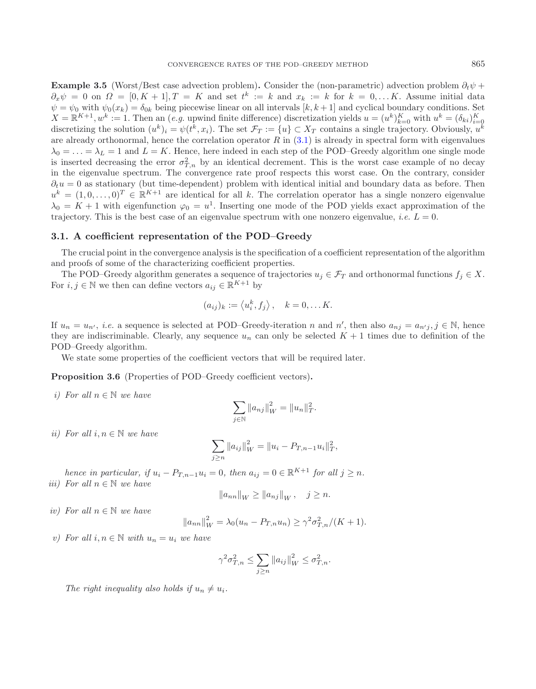**Example 3.5** (Worst/Best case advection problem). Consider the (non-parametric) advection problem  $\partial_t \psi$  +  $\partial_x \psi = 0$  on  $\Omega = [0, K + 1], T = K$  and set  $t^k := k$  and  $x_k := k$  for  $k = 0, \ldots K$ . Assume initial data  $\psi = \psi_0$  with  $\psi_0(x_k) = \delta_{0k}$  being piecewise linear on all intervals  $[k, k+1]$  and cyclical boundary conditions. Set  $X = \mathbb{R}^{K+1}, w^k := 1$ . Then an (*e.g.* upwind finite difference) discretization yields  $u = (u^k)_{k=0}^K$  with  $u^k = (\delta_{ki})_{i=0}^K$ discretizing the solution  $(u^k)_i = \psi(t^k, x_i)$ . The set  $\mathcal{F}_T := \{u\} \subset X_T$  contains a single trajectory. Obviously,  $u^k$ are already orthonormal, hence the correlation operator  $R$  in  $(3.1)$  is already in spectral form with eigenvalues  $\lambda_0 = \ldots = \lambda_L = 1$  and  $L = K$ . Hence, here indeed in each step of the POD–Greedy algorithm one single mode is inserted decreasing the error  $\sigma_{T,n}^2$  by an identical decrement. This is the worst case example of no decay in the eigenvalue spectrum. The convergence rate proof respects this worst case. On the contrary, consider  $\partial_t u = 0$  as stationary (but time-dependent) problem with identical initial and boundary data as before. Then  $u^k = (1, 0, \ldots, 0)^T \in \mathbb{R}^{K+1}$  are identical for all k. The correlation operator has a single nonzero eigenvalue  $\lambda_0 = K + 1$  with eigenfunction  $\varphi_0 = u^1$ . Inserting one mode of the POD yields exact approximation of the trajectory. This is the best case of an eigenvalue spectrum with one nonzero eigenvalue, *i.e.*  $L = 0$ .

#### **3.1. A coefficient representation of the POD–Greedy**

The crucial point in the convergence analysis is the specification of a coefficient representation of the algorithm and proofs of some of the characterizing coefficient properties.

The POD–Greedy algorithm generates a sequence of trajectories  $u_j \in \mathcal{F}_T$  and orthonormal functions  $f_j \in X$ . For  $i, j \in \mathbb{N}$  we then can define vectors  $a_{ij} \in \mathbb{R}^{K+1}$  by

$$
(a_{ij})_k := \langle u_i^k, f_j \rangle, \quad k = 0, \dots K.
$$

If  $u_n = u_{n'}$ , *i.e.* a sequence is selected at POD–Greedy-iteration n and n', then also  $a_{nj} = a_{n'j}, j \in \mathbb{N}$ , hence they are indiscriminable. Clearly, any sequence  $u_n$  can only be selected  $K + 1$  times due to definition of the POD–Greedy algorithm.

We state some properties of the coefficient vectors that will be required later.

<span id="page-6-0"></span>**Proposition 3.6** (Properties of POD–Greedy coefficient vectors).

*i) For all* n ∈ N *we have*

$$
\sum_{j \in \mathbb{N}} \|a_{nj}\|_W^2 = \|u_n\|_T^2.
$$

*ii*) For all  $i, n \in \mathbb{N}$  we have

$$
\sum_{j\geq n} ||a_{ij}||_W^2 = ||u_i - P_{T,n-1}u_i||_T^2,
$$

*hence in particular, if*  $u_i - P_{T,n-1}u_i = 0$ *, then*  $a_{ij} = 0 \in \mathbb{R}^{K+1}$  *for all*  $j \geq n$ *. iii)* For all  $n \in \mathbb{N}$  we have

$$
||a_{nn}||_W \ge ||a_{nj}||_W
$$
,  $j \ge n$ .

*iv) For all* n ∈ N *we have*

$$
||a_{nn}||_{W}^{2} = \lambda_0 (u_n - P_{T,n} u_n) \ge \gamma^2 \sigma_{T,n}^2 / (K+1).
$$

*v)* For all  $i, n \in \mathbb{N}$  with  $u_n = u_i$  we have

$$
\gamma^2 \sigma_{T,n}^2 \le \sum_{j \ge n} \|a_{ij}\|_W^2 \le \sigma_{T,n}^2.
$$

*The right inequality also holds if*  $u_n \neq u_i$ *.*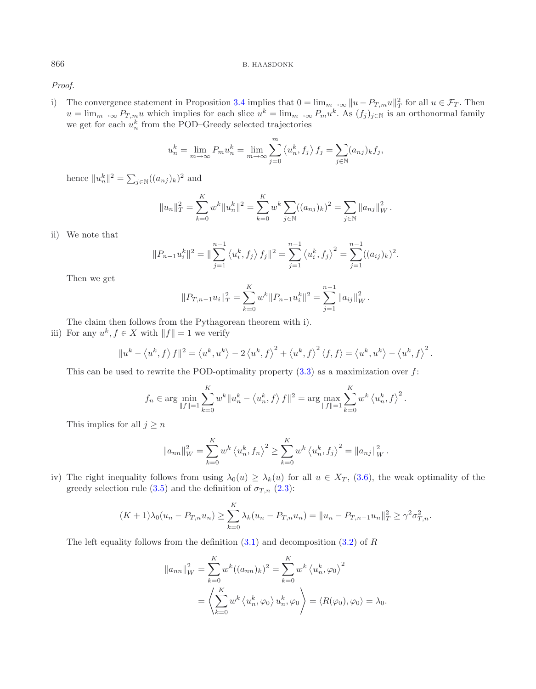*Proof.*

i) The convergence statement in Proposition [3.4](#page-5-0) implies that  $0 = \lim_{m \to \infty} ||u - P_{T,m}u||_T^2$  for all  $u \in \mathcal{F}_T$ . Then  $u = \lim_{m\to\infty} P_{T,m}u$  which implies for each slice  $u^k = \lim_{m\to\infty} P_m u^k$ . As  $(f_j)_{j\in\mathbb{N}}$  is an orthonormal family we get for each  $u_n^k$  from the POD–Greedy selected trajectories

$$
u_n^k = \lim_{m \to \infty} P_m u_n^k = \lim_{m \to \infty} \sum_{j=0}^m \langle u_n^k, f_j \rangle f_j = \sum_{j \in \mathbb{N}} (a_{nj})_k f_j,
$$

hence  $||u_n^k||^2 = \sum_{j \in \mathbb{N}} ((a_{nj})_k)^2$  and

$$
||u_n||_T^2 = \sum_{k=0}^K w^k ||u_n^k||^2 = \sum_{k=0}^K w^k \sum_{j \in \mathbb{N}} ((a_{nj})_k)^2 = \sum_{j \in \mathbb{N}} ||a_{nj}||_W^2.
$$

ii) We note that

$$
||P_{n-1}u_i^k||^2 = ||\sum_{j=1}^{n-1} \langle u_i^k, f_j \rangle f_j||^2 = \sum_{j=1}^{n-1} \langle u_i^k, f_j \rangle^2 = \sum_{j=1}^{n-1} ((a_{ij})_k)^2.
$$

Then we get

$$
||P_{T,n-1}u_i||_T^2 = \sum_{k=0}^K w^k ||P_{n-1}u_i^k||^2 = \sum_{j=1}^{n-1} ||a_{ij}||_W^2.
$$

The claim then follows from the Pythagorean theorem with i).

iii) For any  $u^k, f \in X$  with  $||f|| = 1$  we verify

$$
||u^k - \langle u^k, f \rangle f||^2 = \langle u^k, u^k \rangle - 2 \langle u^k, f \rangle^2 + \langle u^k, f \rangle^2 \langle f, f \rangle = \langle u^k, u^k \rangle - \langle u^k, f \rangle^2.
$$

This can be used to rewrite the POD-optimality property  $(3.3)$  as a maximization over f:

$$
f_n \in \arg \min_{\|f\|=1} \sum_{k=0}^K w^k \|u_n^k - \langle u_n^k, f \rangle f\|^2 = \arg \max_{\|f\|=1} \sum_{k=0}^K w^k \langle u_n^k, f \rangle^2.
$$

This implies for all  $j \geq n$ 

$$
||a_{nn}||_{W}^{2} = \sum_{k=0}^{K} w^{k} \langle u_{n}^{k}, f_{n} \rangle^{2} \ge \sum_{k=0}^{K} w^{k} \langle u_{n}^{k}, f_{j} \rangle^{2} = ||a_{nj}||_{W}^{2}.
$$

iv) The right inequality follows from using  $\lambda_0(u) \geq \lambda_k(u)$  for all  $u \in X_T$ , [\(3.6\)](#page-5-1), the weak optimality of the greedy selection rule [\(3.5\)](#page-4-0) and the definition of  $\sigma_{T,n}$  [\(2.3\)](#page-2-1):

$$
(K+1)\lambda_0(u_n - P_{T,n}u_n) \ge \sum_{k=0}^K \lambda_k(u_n - P_{T,n}u_n) = ||u_n - P_{T,n-1}u_n||_T^2 \ge \gamma^2 \sigma_{T,n}^2.
$$

The left equality follows from the definition  $(3.1)$  and decomposition  $(3.2)$  of R

$$
||a_{nn}||_{W}^{2} = \sum_{k=0}^{K} w^{k} ((a_{nn})_{k})^{2} = \sum_{k=0}^{K} w^{k} \langle u_{n}^{k}, \varphi_{0} \rangle^{2}
$$
  
=  $\left\langle \sum_{k=0}^{K} w^{k} \langle u_{n}^{k}, \varphi_{0} \rangle u_{n}^{k}, \varphi_{0} \right\rangle = \langle R(\varphi_{0}), \varphi_{0} \rangle = \lambda_{0}.$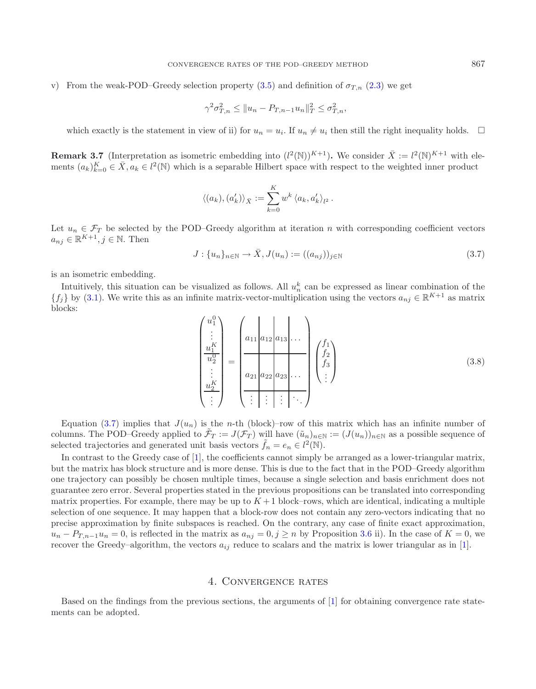v) From the weak-POD–Greedy selection property [\(3.5\)](#page-4-0) and definition of  $\sigma_{T,n}$  [\(2.3\)](#page-2-1) we get

$$
\gamma^2 \sigma_{T,n}^2 \le ||u_n - P_{T,n-1} u_n||_T^2 \le \sigma_{T,n}^2,
$$

<span id="page-8-1"></span>which exactly is the statement in view of ii) for  $u_n = u_i$ . If  $u_n \neq u_i$  then still the right inequality holds.  $\Box$ 

**Remark 3.7** (Interpretation as isometric embedding into  $(l^2(\mathbb{N}))^{K+1}$ ). We consider  $\bar{X} := l^2(\mathbb{N})^{K+1}$  with elements  $(a_k)_{k=0}^K \in \overline{X}, a_k \in l^2(\mathbb{N})$  which is a separable Hilbert space with respect to the weighted inner product

$$
\langle (a_k), (a'_k) \rangle_{\bar{X}} := \sum_{k=0}^K w^k \, \langle a_k, a'_k \rangle_{l^2} \, .
$$

Let  $u_n \in \mathcal{F}_T$  be selected by the POD–Greedy algorithm at iteration n with corresponding coefficient vectors  $a_{nj} \in \mathbb{R}^{K+1}, j \in \mathbb{N}$ . Then

$$
J: \{u_n\}_{n \in \mathbb{N}} \to \bar{X}, J(u_n) := ((a_{nj}))_{j \in \mathbb{N}}
$$
\n(3.7)

is an isometric embedding.

Intuitively, this situation can be visualized as follows. All  $u_n^k$  can be expressed as linear combination of the  ${f_j}$  by [\(3.1\)](#page-6-0). We write this as an infinite matrix-vector-multiplication using the vectors  $a_{nj} \in \mathbb{R}^{K+1}$  as matrix blocks:

$$
\begin{pmatrix} u_1^0 \\ \vdots \\ u_1^K \\ \frac{u_1^0}{u_2^0} \\ \vdots \\ u_2^K \end{pmatrix} = \begin{pmatrix} a_{11} | a_{12} | a_{13} | \dots \\ a_{21} | a_{22} | a_{23} | \dots \\ a_{21} | a_{22} | a_{23} | \dots \\ \vdots \vdots \vdots \vdots \vdots \ddots \end{pmatrix} \begin{pmatrix} f_1 \\ f_2 \\ f_3 \\ \vdots \end{pmatrix}
$$
 (3.8)

Equation [\(3.7\)](#page-8-1) implies that  $J(u_n)$  is the n-th (block)–row of this matrix which has an infinite number of columns. The POD–Greedy applied to  $\mathcal{F}_T := J(\mathcal{F}_T)$  will have  $(\tilde{u}_n)_{n \in \mathbb{N}} := (J(u_n))_{n \in \mathbb{N}}$  as a possible sequence of selected trajectories and generated unit basis vectors  $\tilde{f}_n = e_n \in l^2(\mathbb{N})$ .

In contrast to the Greedy case of [\[1\]](#page-14-7), the coefficients cannot simply be arranged as a lower-triangular matrix, but the matrix has block structure and is more dense. This is due to the fact that in the POD–Greedy algorithm one trajectory can possibly be chosen multiple times, because a single selection and basis enrichment does not guarantee zero error. Several properties stated in the previous propositions can be translated into corresponding matrix properties. For example, there may be up to  $K+1$  block–rows, which are identical, indicating a multiple selection of one sequence. It may happen that a block-row does not contain any zero-vectors indicating that no precise approximation by finite subspaces is reached. On the contrary, any case of finite exact approximation,  $u_n-P_{T,n-1}u_n=0$ , is reflected in the matrix as  $a_{nj}=0, j\geq n$  by Proposition [3.6](#page-6-0) ii). In the case of  $K=0$ , we recover the Greedy–algorithm, the vectors  $a_{ij}$  reduce to scalars and the matrix is lower triangular as in [\[1](#page-14-7)].

### 4. Convergence rates

<span id="page-8-0"></span>Based on the findings from the previous sections, the arguments of [\[1](#page-14-7)] for obtaining convergence rate statements can be adopted.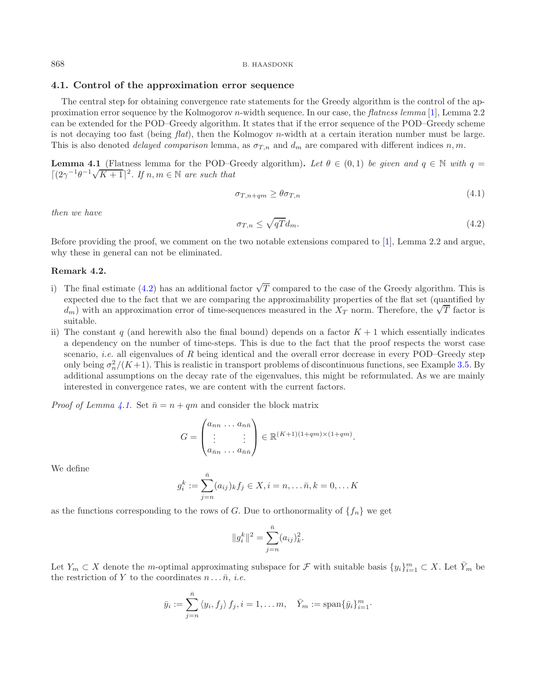<span id="page-9-2"></span>

### <span id="page-9-0"></span>**4.1. Control of the approximation error sequence**

The central step for obtaining convergence rate statements for the Greedy algorithm is the control of the approximation error sequence by the Kolmogorov n-width sequence. In our case, the *flatness lemma* [\[1](#page-14-7)], Lemma 2.2 can be extended for the POD–Greedy algorithm. It states that if the error sequence of the POD–Greedy scheme is not decaying too fast (being *flat*), then the Kolmogov *n*-width at a certain iteration number must be large. This is also denoted *delayed comparison* lemma, as  $\sigma_{T,n}$  and  $d_m$  are compared with different indices n, m.

<span id="page-9-1"></span>**Lemma 4.1** (Flatness lemma for the POD–Greedy algorithm). Let  $\theta \in (0,1)$  be given and  $q \in \mathbb{N}$  with  $q =$ **Example 4.1** (Figuress formula for the 1 OD-C<br> $[(2\gamma^{-1}\theta^{-1}\sqrt{K+1})^2]$ . If  $n, m \in \mathbb{N}$  are such that

$$
\sigma_{T,n+qm} \ge \theta \sigma_{T,n} \tag{4.1}
$$

*then we have*

$$
\sigma_{T,n} \le \sqrt{qT} d_m. \tag{4.2}
$$

Before providing the proof, we comment on the two notable extensions compared to [\[1\]](#page-14-7), Lemma 2.2 and argue, why these in general can not be eliminated.

### **Remark 4.2.**

- i) The final estimate [\(4.2\)](#page-9-0) has an additional factor  $\sqrt{T}$  compared to the case of the Greedy algorithm. This is expected due to the fact that we are comparing the approximability properties of the flat set (quantified by expected due to the fact that we are comparing the approximability properties of the hat set (quantified by  $d_m$ ) with an approximation error of time-sequences measured in the  $X_T$  norm. Therefore, the  $\sqrt{T}$  factor is suitable.
- ii) The constant q (and herewith also the final bound) depends on a factor  $K + 1$  which essentially indicates a dependency on the number of time-steps. This is due to the fact that the proof respects the worst case scenario, *i.e.* all eigenvalues of R being identical and the overall error decrease in every POD–Greedy step only being  $\sigma_n^2/(K+1)$ . This is realistic in transport problems of discontinuous functions, see Example [3.5.](#page-5-2) By additional assumptions on the decay rate of the eigenvalues, this might be reformulated. As we are mainly interested in convergence rates, we are content with the current factors.

*Proof of Lemma [4.1.](#page-9-1)* Set  $\bar{n} = n + qm$  and consider the block matrix

$$
G = \begin{pmatrix} a_{nn} & \dots & a_{n\bar{n}} \\ \vdots & & \vdots \\ a_{\bar{n}n} & \dots & a_{\bar{n}\bar{n}} \end{pmatrix} \in \mathbb{R}^{(K+1)(1+qm)\times(1+qm)}.
$$

We define

$$
g_i^k := \sum_{j=n}^{\bar{n}} (a_{ij})_k f_j \in X, i = n, \dots \bar{n}, k = 0, \dots K
$$

as the functions corresponding to the rows of G. Due to orthonormality of  $\{f_n\}$  we get

$$
||g_i^k||^2 = \sum_{j=n}^{\bar{n}} (a_{ij})_k^2.
$$

Let  $Y_m \subset X$  denote the m-optimal approximating subspace for  $\mathcal F$  with suitable basis  $\{y_i\}_{i=1}^m \subset X$ . Let  $\bar{Y}_m$  be the restriction of Y to the coordinates  $n \dots \bar{n}$ , *i.e.* 

$$
\bar{y}_i := \sum_{j=n}^{\bar{n}} \langle y_i, f_j \rangle f_j, i = 1, \dots m, \quad \bar{Y}_m := \text{span}\{\bar{y}_i\}_{i=1}^m.
$$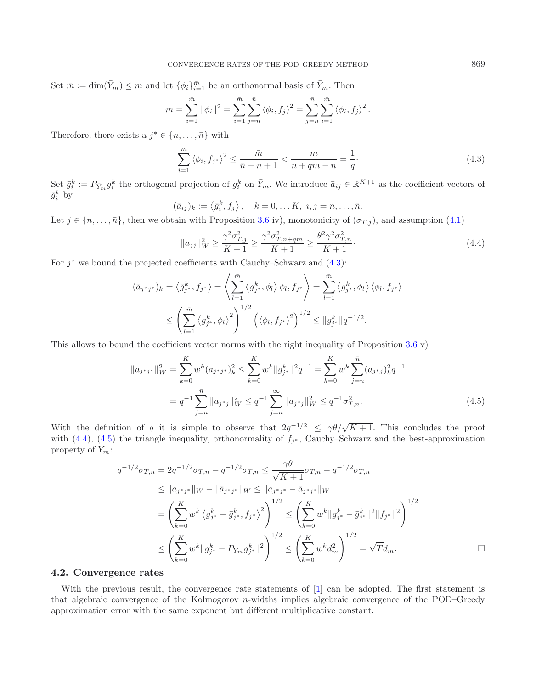Set  $\bar{m} := \dim(\bar{Y}_m) \leq m$  and let  $\{\phi_i\}_{i=1}^{\bar{m}}$  be an orthonormal basis of  $\bar{Y}_m$ . Then

<span id="page-10-0"></span>
$$
\bar{m} = \sum_{i=1}^{\bar{m}} \|\phi_i\|^2 = \sum_{i=1}^{\bar{m}} \sum_{j=n}^{\bar{n}} \langle \phi_i, f_j \rangle^2 = \sum_{j=n}^{\bar{n}} \sum_{i=1}^{\bar{m}} \langle \phi_i, f_j \rangle^2.
$$

Therefore, there exists a  $j^* \in \{n, \ldots, \bar{n}\}\$  with

$$
\sum_{i=1}^{\bar{m}} \left\langle \phi_i, f_{j^*} \right\rangle^2 \le \frac{\bar{m}}{\bar{n} - n + 1} < \frac{m}{n + qm - n} = \frac{1}{q}.\tag{4.3}
$$

Set  $\bar{g}_i^k := P_{\bar{Y}_m} g_i^k$  the orthogonal projection of  $g_i^k$  on  $\bar{Y}_m$ . We introduce  $\bar{a}_{ij} \in \mathbb{R}^{K+1}$  as the coefficient vectors of  $\bar{g}_i^k$  by

$$
(\bar{a}_{ij})_k := \langle \bar{g}_i^k, f_j \rangle, \quad k = 0, \dots K, \ i, j = n, \dots, \bar{n}.
$$

Let  $j \in \{n, \ldots, \bar{n}\}$ , then we obtain with Proposition [3.6](#page-6-0) iv), monotonicity of  $(\sigma_{T,j})$ , and assumption [\(4.1\)](#page-9-2)

$$
||a_{jj}||_{W}^{2} \ge \frac{\gamma^{2} \sigma_{T,j}^{2}}{K+1} \ge \frac{\gamma^{2} \sigma_{T,n+qm}^{2}}{K+1} \ge \frac{\theta^{2} \gamma^{2} \sigma_{T,n}^{2}}{K+1}.
$$
\n(4.4)

For  $j^*$  we bound the projected coefficients with Cauchy–Schwarz and  $(4.3)$ :

$$
(\bar{a}_{j^*j^*})_k = \left\langle \bar{g}_{j^*}^k, f_{j^*} \right\rangle = \left\langle \sum_{l=1}^{\bar{m}} \left\langle g_{j^*}^k, \phi_l \right\rangle \phi_l, f_{j^*} \right\rangle = \sum_{l=1}^{\bar{m}} \left\langle g_{j^*}^k, \phi_l \right\rangle \left\langle \phi_l, f_{j^*} \right\rangle
$$
  

$$
\leq \left( \sum_{l=1}^{\bar{m}} \left\langle g_{j^*}^k, \phi_l \right\rangle^2 \right)^{1/2} \left( \left\langle \phi_l, f_{j^*} \right\rangle^2 \right)^{1/2} \leq ||g_{j^*}^k||q^{-1/2}.
$$

<span id="page-10-2"></span>This allows to bound the coefficient vector norms with the right inequality of Proposition  $3.6 \text{ v}$  $3.6 \text{ v}$ )

$$
\|\bar{a}_{j^*j^*}\|_{W}^{2} = \sum_{k=0}^{K} w^k (\bar{a}_{j^*j^*})_{k}^{2} \le \sum_{k=0}^{K} w^k \|g_{j^*}^k\|^2 q^{-1} = \sum_{k=0}^{K} w^k \sum_{j=n}^{\bar{n}} (a_{j^*j})_{k}^{2} q^{-1}
$$

$$
= q^{-1} \sum_{j=n}^{\bar{n}} \|a_{j^*j}\|_{W}^{2} \le q^{-1} \sum_{j=n}^{\infty} \|a_{j^*j}\|_{W}^{2} \le q^{-1} \sigma_{T,n}^{2}.
$$
(4.5)

With the definition of q it is simple to observe that  $2q^{-1/2} \le \gamma \theta/\sqrt{K+1}$ . This concludes the proof with [\(4.4\)](#page-10-1), [\(4.5\)](#page-10-2) the triangle inequality, orthonormality of  $f_{i^*}$ , Cauchy–Schwarz and the best-approximation property of  $Y_m$ :

$$
q^{-1/2}\sigma_{T,n} = 2q^{-1/2}\sigma_{T,n} - q^{-1/2}\sigma_{T,n} \leq \frac{\gamma\theta}{\sqrt{K+1}}\sigma_{T,n} - q^{-1/2}\sigma_{T,n}
$$
  
\n
$$
\leq ||a_{j^*j^*}||w - ||\bar{a}_{j^*j^*}||w \leq ||a_{j^*j^*} - \bar{a}_{j^*j^*}||w
$$
  
\n
$$
= \left(\sum_{k=0}^K w^k \left\langle g_{j^*}^k - \bar{g}_{j^*}^k, f_{j^*} \right\rangle^2\right)^{1/2} \leq \left(\sum_{k=0}^K w^k ||g_{j^*}^k - \bar{g}_{j^*}^k||^2||f_{j^*}||^2\right)^{1/2}
$$
  
\n
$$
\leq \left(\sum_{k=0}^K w^k ||g_{j^*}^k - P_{Y_m}g_{j^*}^k||^2\right)^{1/2} \leq \left(\sum_{k=0}^K w^k d_m^2\right)^{1/2} = \sqrt{T}d_m.
$$

# **4.2. Convergence rates**

With the previous result, the convergence rate statements of [\[1\]](#page-14-7) can be adopted. The first statement is that algebraic convergence of the Kolmogorov n-widths implies algebraic convergence of the POD–Greedy approximation error with the same exponent but different multiplicative constant.

<span id="page-10-1"></span>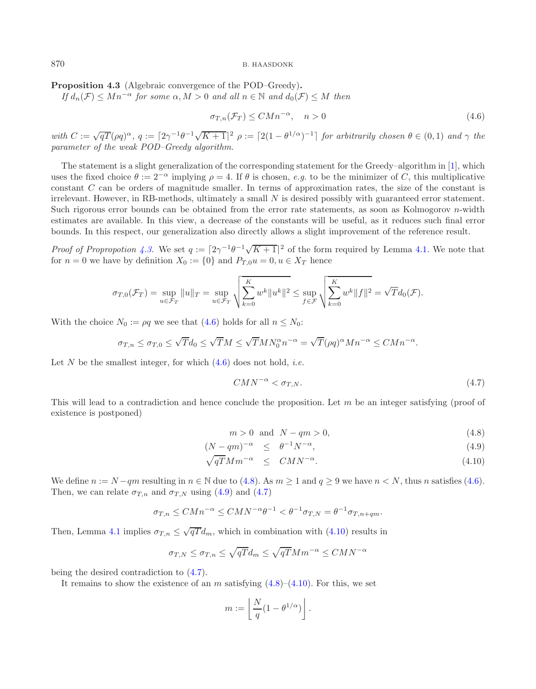<span id="page-11-0"></span>**Proposition 4.3** (Algebraic convergence of the POD–Greedy)**.**

*If*  $d_n(\mathcal{F}) \leq Mn^{-\alpha}$  *for some*  $\alpha, M > 0$  *and all*  $n \in \mathbb{N}$  *and*  $d_0(\mathcal{F}) \leq M$  *then* 

<span id="page-11-3"></span><span id="page-11-1"></span>
$$
\sigma_{T,n}(\mathcal{F}_T) \leq CMn^{-\alpha}, \quad n > 0 \tag{4.6}
$$

*with*  $C := \sqrt{qT}(\rho q)^{\alpha}$ ,  $q := [2\gamma^{-1}\theta^{-1}\sqrt{K+1}]^2$   $\rho := [2(1-\theta^{1/\alpha})^{-1}]$  *for arbitrarily chosen*  $\theta \in (0,1)$  *and*  $\gamma$  *the parameter of the weak POD–Greedy algorithm.*

The statement is a slight generalization of the corresponding statement for the Greedy–algorithm in [\[1](#page-14-7)], which uses the fixed choice  $\theta := 2^{-\alpha}$  implying  $\rho = 4$ . If  $\theta$  is chosen, *e.g.* to be the minimizer of C, this multiplicative constant C can be orders of magnitude smaller. In terms of approximation rates, the size of the constant is irrelevant. However, in RB-methods, ultimately a small N is desired possibly with guaranteed error statement. Such rigorous error bounds can be obtained from the error rate statements, as soon as Kolmogorov n-width estimates are available. In this view, a decrease of the constants will be useful, as it reduces such final error bounds. In this respect, our generalization also directly allows a slight improvement of the reference result.

*Proof of Propropotion* [4.3.](#page-11-0) We set  $q := [2\gamma^{-1}\theta^{-1}\sqrt{K+1}]^2$  of the form required by Lemma [4.1.](#page-9-1) We note that for  $n = 0$  we have by definition  $X_0 := \{0\}$  and  $P_{T,0}u = 0, u \in X_T$  hence

$$
\sigma_{T,0}(\mathcal{F}_T) = \sup_{u \in \mathcal{F}_T} \|u\|_T = \sup_{u \in \mathcal{F}_T} \sqrt{\sum_{k=0}^K w^k \|u^k\|^2} \leq \sup_{f \in \mathcal{F}} \sqrt{\sum_{k=0}^K w^k \|f\|^2} = \sqrt{T} d_0(\mathcal{F}).
$$

With the choice  $N_0 := \rho q$  we see that [\(4.6\)](#page-11-1) holds for all  $n \leq N_0$ :

$$
\sigma_{T,n} \leq \sigma_{T,0} \leq \sqrt{T}d_0 \leq \sqrt{T}M \leq \sqrt{T}MN_0^{\alpha}n^{-\alpha} = \sqrt{T}(\rho q)^{\alpha}Mn^{-\alpha} \leq CMn^{-\alpha}.
$$

Let N be the smallest integer, for which  $(4.6)$  does not hold, *i.e.* 

$$
CMN^{-\alpha} < \sigma_{T,N}.\tag{4.7}
$$

This will lead to a contradiction and hence conclude the proposition. Let  $m$  be an integer satisfying (proof of existence is postponed)

$$
m > 0 \quad \text{and} \quad N - qm > 0,\tag{4.8}
$$

<span id="page-11-2"></span>
$$
(N-qm)^{-\alpha} \leq \theta^{-1}N^{-\alpha}, \tag{4.9}
$$

$$
\sqrt{qT}Mm^{-\alpha} \le CMN^{-\alpha}.\tag{4.10}
$$

We define  $n := N - qm$  resulting in  $n \in \mathbb{N}$  due to [\(4.8\)](#page-11-2). As  $m \ge 1$  and  $q \ge 9$  we have  $n < N$ , thus n satisfies [\(4.6\)](#page-11-1). Then, we can relate  $\sigma_{T,n}$  and  $\sigma_{T,N}$  using [\(4.9\)](#page-11-2) and [\(4.7\)](#page-11-3)

$$
\sigma_{T,n} \leq CMn^{-\alpha} \leq CMN^{-\alpha} \theta^{-1} < \theta^{-1} \sigma_{T,N} = \theta^{-1} \sigma_{T,n+qm}.
$$

Then, Lemma [4.1](#page-9-1) implies  $\sigma_{T,n} \leq \sqrt{qT}d_m$ , which in combination with [\(4.10\)](#page-11-2) results in

$$
\sigma_{T,N} \le \sigma_{T,n} \le \sqrt{qT} d_m \le \sqrt{qT} M m^{-\alpha} \le CMN^{-\alpha}
$$

being the desired contradiction to [\(4.7\)](#page-11-3).

It remains to show the existence of an m satisfying  $(4.8)$ – $(4.10)$ . For this, we set

$$
m := \left\lfloor \frac{N}{q} (1 - \theta^{1/\alpha}) \right\rfloor.
$$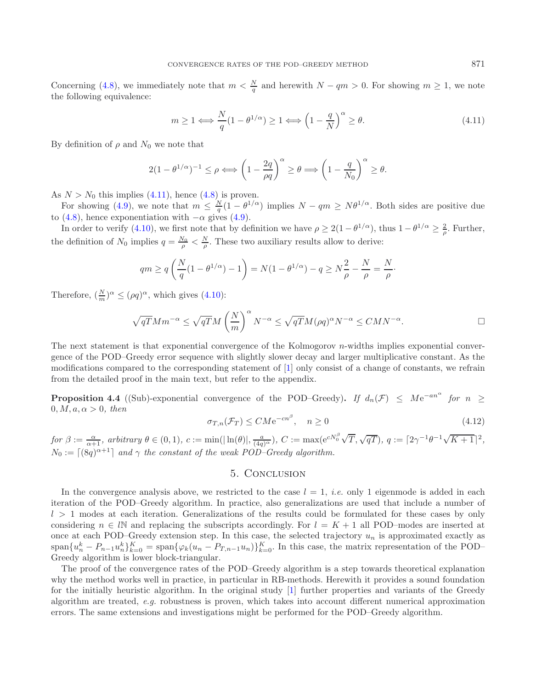<span id="page-12-1"></span>Concerning [\(4.8\)](#page-11-2), we immediately note that  $m < \frac{N}{q}$  and herewith  $N - qm > 0$ . For showing  $m \ge 1$ , we note the following equivalence:

$$
m \ge 1 \Longleftrightarrow \frac{N}{q} (1 - \theta^{1/\alpha}) \ge 1 \Longleftrightarrow \left(1 - \frac{q}{N}\right)^{\alpha} \ge \theta. \tag{4.11}
$$

By definition of  $\rho$  and  $N_0$  we note that

$$
2(1 - \theta^{1/\alpha})^{-1} \le \rho \Longleftrightarrow \left(1 - \frac{2q}{\rho q}\right)^{\alpha} \ge \theta \Longrightarrow \left(1 - \frac{q}{N_0}\right)^{\alpha} \ge \theta.
$$

As  $N>N_0$  this implies [\(4.11\)](#page-12-1), hence [\(4.8\)](#page-11-2) is proven.

For showing [\(4.9\)](#page-11-2), we note that  $m \leq \frac{N}{q} (1 - \theta^{1/\alpha})$  implies  $N - qm \geq N\theta^{1/\alpha}$ . Both sides are positive due to [\(4.8\)](#page-11-2), hence exponentiation with  $-\alpha$  gives [\(4.9\)](#page-11-2).

In order to verify [\(4.10\)](#page-11-2), we first note that by definition we have  $\rho \geq 2(1 - \theta^{1/\alpha})$ , thus  $1 - \theta^{1/\alpha} \geq \frac{2}{\varrho}$ . Further, the definition of  $N_0$  implies  $q = \frac{N_0}{\rho} < \frac{N}{\rho}$ . These two auxiliary results allow to derive:

$$
qm \ge q\left(\frac{N}{q}(1 - \theta^{1/\alpha}) - 1\right) = N(1 - \theta^{1/\alpha}) - q \ge N\frac{2}{\rho} - \frac{N}{\rho} = \frac{N}{\rho}.
$$

<span id="page-12-3"></span>Therefore,  $\left(\frac{N}{m}\right)^{\alpha} \leq (\rho q)^{\alpha}$ , which gives [\(4.10\)](#page-11-2):

$$
\sqrt{qT}Mm^{-\alpha} \le \sqrt{qT}M\left(\frac{N}{m}\right)^{\alpha}N^{-\alpha} \le \sqrt{qT}M(\rho q)^{\alpha}N^{-\alpha} \le CMN^{-\alpha}.
$$

The next statement is that exponential convergence of the Kolmogorov  $n$ -widths implies exponential convergence of the POD–Greedy error sequence with slightly slower decay and larger multiplicative constant. As the modifications compared to the corresponding statement of [\[1\]](#page-14-7) only consist of a change of constants, we refrain from the detailed proof in the main text, but refer to the appendix.

<span id="page-12-2"></span>**Proposition 4.4** ((Sub)-exponential convergence of the POD–Greedy). If  $d_n(\mathcal{F}) \leq Me^{-an^{\alpha}}$  for  $n \geq$  $0, M, a, \alpha > 0$ , then

$$
\sigma_{T,n}(\mathcal{F}_T) \le C M e^{-cn^{\beta}}, \quad n \ge 0 \tag{4.12}
$$

 $for \beta := \frac{\alpha}{\alpha+1},$   $arbitrary \ \theta \in (0,1), \ c:= \min(|\ln(\theta)|, \frac{a}{(4q)^{\alpha}}), \ C:= \max(e^{cN_0^{\beta}}\sqrt{T}, \sqrt{qT}), \ q:= [2\gamma^{-1}\theta^{-1}\sqrt{K+1}]^2,$  $N_0 := \lceil (8q)^{\alpha+1} \rceil$  *and*  $\gamma$  *the constant of the weak POD–Greedy algorithm.* 

# 5. Conclusion

<span id="page-12-0"></span>In the convergence analysis above, we restricted to the case  $l = 1$ , *i.e.* only 1 eigenmode is added in each iteration of the POD–Greedy algorithm. In practice, also generalizations are used that include a number of  $l > 1$  modes at each iteration. Generalizations of the results could be formulated for these cases by only considering  $n \in \mathbb{N}$  and replacing the subscripts accordingly. For  $l = K + 1$  all POD–modes are inserted at once at each POD–Greedy extension step. In this case, the selected trajectory  $u_n$  is approximated exactly as  $\text{span}\{u_n^k - P_{n-1}u_n^k\}_{k=0}^K = \text{span}\{\varphi_k(u_n - P_{T,n-1}u_n)\}_{k=0}^K$ . In this case, the matrix representation of the POD– Greedy algorithm is lower block-triangular.

The proof of the convergence rates of the POD–Greedy algorithm is a step towards theoretical explanation why the method works well in practice, in particular in RB-methods. Herewith it provides a sound foundation for the initially heuristic algorithm. In the original study [\[1\]](#page-14-7) further properties and variants of the Greedy algorithm are treated, *e.g.* robustness is proven, which takes into account different numerical approximation errors. The same extensions and investigations might be performed for the POD–Greedy algorithm.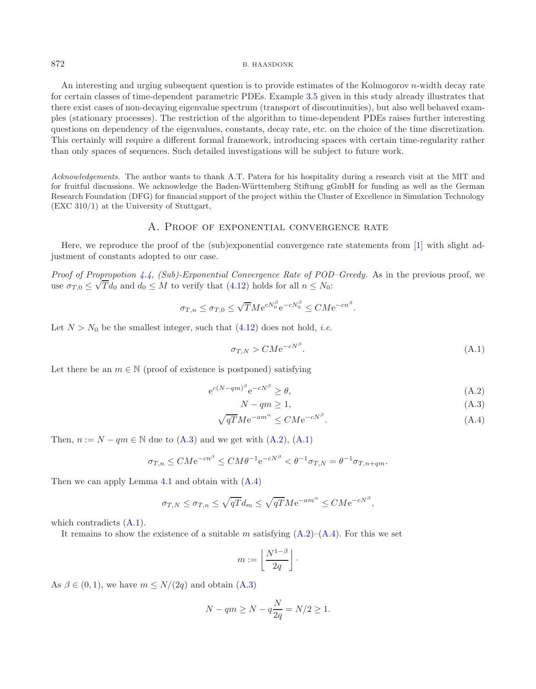An interesting and urging subsequent question is to provide estimates of the Kolmogorov *n*-width decay rate for certain classes of time-dependent parametric PDEs. Example [3.5](#page-5-2) given in this study already illustrates that there exist cases of non-decaying eigenvalue spectrum (transport of discontinuities), but also well behaved examples (stationary processes). The restriction of the algorithm to time-dependent PDEs raises further interesting questions on dependency of the eigenvalues, constants, decay rate, etc. on the choice of the time discretization. This certainly will require a different formal framework, introducing spaces with certain time-regularity rather than only spaces of sequences. Such detailed investigations will be subject to future work.

*Acknowledgements.* The author wants to thank A.T. Patera for his hospitality during a research visit at the MIT and for fruitful discussions. We acknowledge the Baden-Württemberg Stiftung gGmbH for funding as well as the German Research Foundation (DFG) for financial support of the project within the Cluster of Excellence in Simulation Technology (EXC 310/1) at the University of Stuttgart,

# <span id="page-13-1"></span>A. Proof of exponential convergence rate

Here, we reproduce the proof of the (sub)exponential convergence rate statements from [\[1](#page-14-7)] with slight adjustment of constants adopted to our case.

*Proof of Propropotion [4.4,](#page-12-2) (Sub)-Exponential Convergence Rate of POD–Greedy.* As in the previous proof, we *Proof of Propropotion 4.4, (500)-Exponential Convergence Kate of POL*<br>use  $\sigma_{T,0} \leq \sqrt{T}d_0$  and  $d_0 \leq M$  to verify that [\(4.12\)](#page-12-3) holds for all  $n \leq N_0$ :

$$
\sigma_{T,n} \leq \sigma_{T,0} \leq \sqrt{T} M e^{c N_0^{\beta}} e^{-c N_0^{\beta}} \leq C M e^{-c n^{\beta}}.
$$

Let  $N>N_0$  be the smallest integer, such that  $(4.12)$  does not hold, *i.e.* 

$$
\sigma_{T,N} > C M e^{-cN^{\beta}}.\tag{A.1}
$$

Let there be an  $m \in \mathbb{N}$  (proof of existence is postponed) satisfying

<span id="page-13-0"></span>
$$
e^{c(N-qm)^{\beta}}e^{-cN^{\beta}} \ge \theta,\tag{A.2}
$$

$$
N - qm \ge 1,\tag{A.3}
$$

$$
\sqrt{qT}M e^{-am^{\alpha}} \leq C M e^{-cN^{\beta}}.
$$
\n(A.4)

Then,  $n := N - qm \in \mathbb{N}$  due to  $(A.3)$  and we get with  $(A.2)$ ,  $(A.1)$ 

$$
\sigma_{T,n} \leq C M e^{-cn^{\beta}} \leq C M \theta^{-1} e^{-c N^{\beta}} < \theta^{-1} \sigma_{T,N} = \theta^{-1} \sigma_{T,n+qm}.
$$

Then we can apply Lemma [4.1](#page-9-1) and obtain with [\(A.4\)](#page-13-0)

$$
\sigma_{T,N} \leq \sigma_{T,n} \leq \sqrt{qT} d_m \leq \sqrt{qT} M e^{-am^{\alpha}} \leq C M e^{-cN^{\beta}},
$$

which contradicts  $(A.1)$ .

It remains to show the existence of a suitable m satisfying  $(A.2)$ – $(A.4)$ . For this we set

$$
m := \left\lfloor \frac{N^{1-\beta}}{2q} \right\rfloor \cdot
$$

As  $\beta \in (0, 1)$ , we have  $m \le N/(2q)$  and obtain  $(A.3)$ 

$$
N-qm \ge N-q\frac{N}{2q} = N/2 \ge 1.
$$